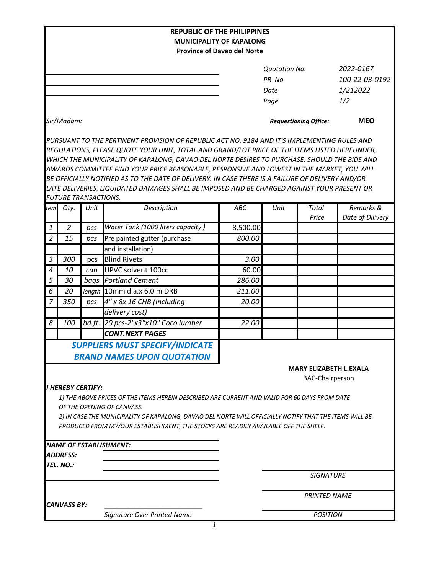|                                                                                                                                                                                               |                             |        | <b>REPUBLIC OF THE PHILIPPINES</b>                                                               |          |                              |                               |                  |  |  |  |  |
|-----------------------------------------------------------------------------------------------------------------------------------------------------------------------------------------------|-----------------------------|--------|--------------------------------------------------------------------------------------------------|----------|------------------------------|-------------------------------|------------------|--|--|--|--|
|                                                                                                                                                                                               |                             |        | <b>MUNICIPALITY OF KAPALONG</b>                                                                  |          |                              |                               |                  |  |  |  |  |
|                                                                                                                                                                                               |                             |        | <b>Province of Davao del Norte</b>                                                               |          |                              |                               |                  |  |  |  |  |
|                                                                                                                                                                                               |                             |        |                                                                                                  |          | <b>Quotation No.</b>         |                               | 2022-0167        |  |  |  |  |
|                                                                                                                                                                                               |                             |        |                                                                                                  | PR No.   |                              | 100-22-03-0192                |                  |  |  |  |  |
|                                                                                                                                                                                               |                             |        |                                                                                                  |          | Date                         |                               | 1/212022         |  |  |  |  |
|                                                                                                                                                                                               |                             |        |                                                                                                  |          | Page                         |                               | 1/2              |  |  |  |  |
|                                                                                                                                                                                               | Sir/Madam:                  |        |                                                                                                  |          | <b>Requestioning Office:</b> |                               | <b>MEO</b>       |  |  |  |  |
|                                                                                                                                                                                               |                             |        |                                                                                                  |          |                              |                               |                  |  |  |  |  |
|                                                                                                                                                                                               |                             |        | PURSUANT TO THE PERTINENT PROVISION OF REPUBLIC ACT NO. 9184 AND IT'S IMPLEMENTING RULES AND     |          |                              |                               |                  |  |  |  |  |
| REGULATIONS, PLEASE QUOTE YOUR UNIT, TOTAL AND GRAND/LOT PRICE OF THE ITEMS LISTED HEREUNDER,<br>WHICH THE MUNICIPALITY OF KAPALONG, DAVAO DEL NORTE DESIRES TO PURCHASE. SHOULD THE BIDS AND |                             |        |                                                                                                  |          |                              |                               |                  |  |  |  |  |
|                                                                                                                                                                                               |                             |        | AWARDS COMMITTEE FIND YOUR PRICE REASONABLE, RESPONSIVE AND LOWEST IN THE MARKET, YOU WILL       |          |                              |                               |                  |  |  |  |  |
|                                                                                                                                                                                               |                             |        | BE OFFICIALLY NOTIFIED AS TO THE DATE OF DELIVERY. IN CASE THERE IS A FAILURE OF DELIVERY AND/OR |          |                              |                               |                  |  |  |  |  |
|                                                                                                                                                                                               |                             |        | LATE DELIVERIES, LIQUIDATED DAMAGES SHALL BE IMPOSED AND BE CHARGED AGAINST YOUR PRESENT OR      |          |                              |                               |                  |  |  |  |  |
|                                                                                                                                                                                               | <b>FUTURE TRANSACTIONS.</b> |        |                                                                                                  |          |                              |                               |                  |  |  |  |  |
| tem                                                                                                                                                                                           | Qty.                        | Unit   | Description                                                                                      | ABC      | Unit                         | Total                         | Remarks &        |  |  |  |  |
|                                                                                                                                                                                               | $\overline{2}$              |        | Water Tank (1000 liters capacity)                                                                | 8,500.00 |                              | Price                         | Date of Dilivery |  |  |  |  |
| $\mathbf{1}$                                                                                                                                                                                  |                             | pcs    |                                                                                                  |          |                              |                               |                  |  |  |  |  |
| 2                                                                                                                                                                                             | 15                          | pcs    | Pre painted gutter (purchase                                                                     | 800.00   |                              |                               |                  |  |  |  |  |
|                                                                                                                                                                                               |                             |        | and installation)                                                                                |          |                              |                               |                  |  |  |  |  |
| $\mathfrak{Z}$                                                                                                                                                                                | 300                         | pcs    | <b>Blind Rivets</b>                                                                              | 3.00     |                              |                               |                  |  |  |  |  |
| $\overline{4}$                                                                                                                                                                                | 10                          | can    | UPVC solvent 100cc                                                                               | 60.00    |                              |                               |                  |  |  |  |  |
| 5                                                                                                                                                                                             | 30                          | bags   | <b>Portland Cement</b>                                                                           | 286.00   |                              |                               |                  |  |  |  |  |
| 6                                                                                                                                                                                             | 20                          | length | 10mm dia.x 6.0 m DRB                                                                             | 211.00   |                              |                               |                  |  |  |  |  |
| 7                                                                                                                                                                                             | 350                         | pcs    | 4" x 8x 16 CHB (Including                                                                        | 20.00    |                              |                               |                  |  |  |  |  |
|                                                                                                                                                                                               |                             |        | delivery cost)                                                                                   |          |                              |                               |                  |  |  |  |  |
| 8                                                                                                                                                                                             | 100                         | bd.ft. | 20 pcs-2"x3"x10" Coco lumber                                                                     | 22.00    |                              |                               |                  |  |  |  |  |
|                                                                                                                                                                                               |                             |        | <b>CONT.NEXT PAGES</b>                                                                           |          |                              |                               |                  |  |  |  |  |
|                                                                                                                                                                                               |                             |        | <b>SUPPLIERS MUST SPECIFY/INDICATE</b>                                                           |          |                              |                               |                  |  |  |  |  |
|                                                                                                                                                                                               |                             |        | <b>BRAND NAMES UPON QUOTATION</b>                                                                |          |                              |                               |                  |  |  |  |  |
|                                                                                                                                                                                               |                             |        |                                                                                                  |          |                              | <b>MARY ELIZABETH L.EXALA</b> |                  |  |  |  |  |
|                                                                                                                                                                                               |                             |        |                                                                                                  |          |                              | <b>BAC-Chairperson</b>        |                  |  |  |  |  |
|                                                                                                                                                                                               | I HEREBY CERTIFY:           |        |                                                                                                  |          |                              |                               |                  |  |  |  |  |
|                                                                                                                                                                                               |                             |        | 1) THE ABOVE PRICES OF THE ITEMS HEREIN DESCRIBED ARE CURRENT AND VALID FOR 60 DAYS FROM DATE    |          |                              |                               |                  |  |  |  |  |
| OF THE OPENING OF CANVASS.                                                                                                                                                                    |                             |        |                                                                                                  |          |                              |                               |                  |  |  |  |  |
| 2) IN CASE THE MUNICIPALITY OF KAPALONG, DAVAO DEL NORTE WILL OFFICIALLY NOTIFY THAT THE ITEMS WILL BE<br>PRODUCED FROM MY/OUR ESTABLISHMENT, THE STOCKS ARE READILY AVAILABLE OFF THE SHELF. |                             |        |                                                                                                  |          |                              |                               |                  |  |  |  |  |
|                                                                                                                                                                                               |                             |        |                                                                                                  |          |                              |                               |                  |  |  |  |  |
|                                                                                                                                                                                               |                             |        | <b>NAME OF ESTABLISHMENT:</b>                                                                    |          |                              |                               |                  |  |  |  |  |
|                                                                                                                                                                                               | ADDRESS:                    |        |                                                                                                  |          |                              |                               |                  |  |  |  |  |
|                                                                                                                                                                                               | TEL. NO.:                   |        |                                                                                                  |          |                              |                               |                  |  |  |  |  |
|                                                                                                                                                                                               |                             |        |                                                                                                  |          | <b>SIGNATURE</b>             |                               |                  |  |  |  |  |
|                                                                                                                                                                                               |                             |        |                                                                                                  |          | <b>PRINTED NAME</b>          |                               |                  |  |  |  |  |
|                                                                                                                                                                                               | <b>CANVASS BY:</b>          |        |                                                                                                  |          |                              |                               |                  |  |  |  |  |
|                                                                                                                                                                                               |                             |        | Signature Over Printed Name                                                                      |          |                              | <b>POSITION</b>               |                  |  |  |  |  |
|                                                                                                                                                                                               |                             |        | 1                                                                                                |          |                              |                               |                  |  |  |  |  |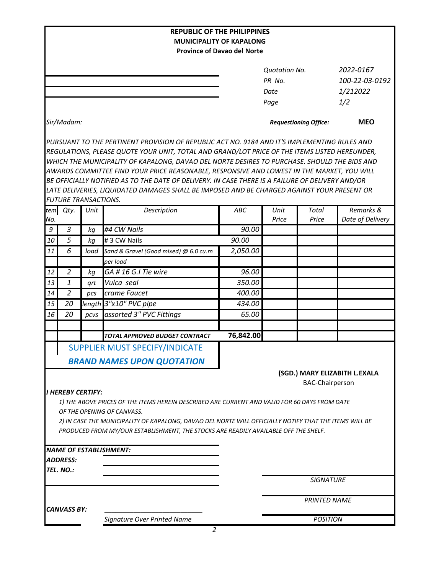| <b>REPUBLIC OF THE PHILIPPINES</b>                                                            |                             |      |                                                                                                        |           |                              |                        |                               |  |  |  |  |  |
|-----------------------------------------------------------------------------------------------|-----------------------------|------|--------------------------------------------------------------------------------------------------------|-----------|------------------------------|------------------------|-------------------------------|--|--|--|--|--|
| <b>MUNICIPALITY OF KAPALONG</b>                                                               |                             |      |                                                                                                        |           |                              |                        |                               |  |  |  |  |  |
|                                                                                               |                             |      | <b>Province of Davao del Norte</b>                                                                     |           |                              |                        |                               |  |  |  |  |  |
|                                                                                               |                             |      |                                                                                                        |           | <b>Quotation No.</b>         |                        | 2022-0167                     |  |  |  |  |  |
|                                                                                               |                             |      |                                                                                                        |           | PR No.                       |                        | 100-22-03-0192                |  |  |  |  |  |
|                                                                                               |                             |      |                                                                                                        |           | Date                         |                        | 1/212022                      |  |  |  |  |  |
|                                                                                               |                             |      |                                                                                                        |           | Page                         |                        | 1/2                           |  |  |  |  |  |
|                                                                                               |                             |      |                                                                                                        |           |                              |                        |                               |  |  |  |  |  |
|                                                                                               | Sir/Madam:                  |      |                                                                                                        |           | <b>Requestioning Office:</b> |                        | <b>MEO</b>                    |  |  |  |  |  |
|                                                                                               |                             |      | PURSUANT TO THE PERTINENT PROVISION OF REPUBLIC ACT NO. 9184 AND IT'S IMPLEMENTING RULES AND           |           |                              |                        |                               |  |  |  |  |  |
| REGULATIONS, PLEASE QUOTE YOUR UNIT, TOTAL AND GRAND/LOT PRICE OF THE ITEMS LISTED HEREUNDER, |                             |      |                                                                                                        |           |                              |                        |                               |  |  |  |  |  |
|                                                                                               |                             |      | WHICH THE MUNICIPALITY OF KAPALONG, DAVAO DEL NORTE DESIRES TO PURCHASE. SHOULD THE BIDS AND           |           |                              |                        |                               |  |  |  |  |  |
|                                                                                               |                             |      | AWARDS COMMITTEE FIND YOUR PRICE REASONABLE, RESPONSIVE AND LOWEST IN THE MARKET, YOU WILL             |           |                              |                        |                               |  |  |  |  |  |
|                                                                                               |                             |      | BE OFFICIALLY NOTIFIED AS TO THE DATE OF DELIVERY. IN CASE THERE IS A FAILURE OF DELIVERY AND/OR       |           |                              |                        |                               |  |  |  |  |  |
|                                                                                               | <b>FUTURE TRANSACTIONS.</b> |      | LATE DELIVERIES, LIQUIDATED DAMAGES SHALL BE IMPOSED AND BE CHARGED AGAINST YOUR PRESENT OR            |           |                              |                        |                               |  |  |  |  |  |
| tem                                                                                           | Qty.                        | Unit | Description                                                                                            | ABC       | Unit                         | Total                  | Remarks &                     |  |  |  |  |  |
| No.                                                                                           |                             |      |                                                                                                        |           | Price                        | Price                  | Date of Delivery              |  |  |  |  |  |
| 9                                                                                             | 3                           | kg   | #4 CW Nails                                                                                            | 90.00     |                              |                        |                               |  |  |  |  |  |
| 10                                                                                            | 5                           | kg   | # 3 CW Nails                                                                                           | 90.00     |                              |                        |                               |  |  |  |  |  |
| 11                                                                                            | 6                           | load | Sand & Gravel (Good mixed) @ 6.0 cu.m                                                                  | 2,050.00  |                              |                        |                               |  |  |  |  |  |
|                                                                                               |                             |      | per load                                                                                               |           |                              |                        |                               |  |  |  |  |  |
| 12                                                                                            | $\overline{2}$              | kg   | GA #16 G.I Tie wire                                                                                    | 96.00     |                              |                        |                               |  |  |  |  |  |
| 13                                                                                            | $\mathbf{1}$                | grt  | Vulca seal                                                                                             | 350.00    |                              |                        |                               |  |  |  |  |  |
| 14                                                                                            | $\overline{2}$              | pcs  | crame Faucet                                                                                           | 400.00    |                              |                        |                               |  |  |  |  |  |
| 15                                                                                            | 20                          |      | length 3"x10" PVC pipe                                                                                 | 434.00    |                              |                        |                               |  |  |  |  |  |
| 16                                                                                            | 20                          | pcvs | assorted 3" PVC Fittings                                                                               | 65.00     |                              |                        |                               |  |  |  |  |  |
|                                                                                               |                             |      |                                                                                                        |           |                              |                        |                               |  |  |  |  |  |
|                                                                                               |                             |      | TOTAL APPROVED BUDGET CONTRACT                                                                         | 76,842.00 |                              |                        |                               |  |  |  |  |  |
|                                                                                               |                             |      | SUPPLIER MUST SPECIFY/INDICATE                                                                         |           |                              |                        |                               |  |  |  |  |  |
|                                                                                               |                             |      | <b>BRAND NAMES UPON QUOTATION</b>                                                                      |           |                              |                        |                               |  |  |  |  |  |
|                                                                                               |                             |      |                                                                                                        |           |                              |                        | (SGD.) MARY ELIZABITH L.EXALA |  |  |  |  |  |
|                                                                                               |                             |      |                                                                                                        |           |                              | <b>BAC-Chairperson</b> |                               |  |  |  |  |  |
|                                                                                               | <b>I HEREBY CERTIFY:</b>    |      |                                                                                                        |           |                              |                        |                               |  |  |  |  |  |
|                                                                                               |                             |      | 1) THE ABOVE PRICES OF THE ITEMS HEREIN DESCRIBED ARE CURRENT AND VALID FOR 60 DAYS FROM DATE          |           |                              |                        |                               |  |  |  |  |  |
|                                                                                               |                             |      | OF THE OPENING OF CANVASS.                                                                             |           |                              |                        |                               |  |  |  |  |  |
|                                                                                               |                             |      | 2) IN CASE THE MUNICIPALITY OF KAPALONG, DAVAO DEL NORTE WILL OFFICIALLY NOTIFY THAT THE ITEMS WILL BE |           |                              |                        |                               |  |  |  |  |  |
|                                                                                               |                             |      | PRODUCED FROM MY/OUR ESTABLISHMENT, THE STOCKS ARE READILY AVAILABLE OFF THE SHELF.                    |           |                              |                        |                               |  |  |  |  |  |
|                                                                                               |                             |      |                                                                                                        |           |                              |                        |                               |  |  |  |  |  |
|                                                                                               | <b>ADDRESS:</b>             |      | <b>NAME OF ESTABLISHMENT:</b>                                                                          |           |                              |                        |                               |  |  |  |  |  |
|                                                                                               | TEL. NO.:                   |      |                                                                                                        |           |                              |                        |                               |  |  |  |  |  |
|                                                                                               |                             |      |                                                                                                        |           |                              | <b>SIGNATURE</b>       |                               |  |  |  |  |  |
|                                                                                               |                             |      |                                                                                                        |           |                              |                        |                               |  |  |  |  |  |
|                                                                                               |                             |      |                                                                                                        |           | <b>PRINTED NAME</b>          |                        |                               |  |  |  |  |  |
|                                                                                               | <b>CANVASS BY:</b>          |      |                                                                                                        |           |                              |                        |                               |  |  |  |  |  |
|                                                                                               |                             |      | Signature Over Printed Name                                                                            |           | <b>POSITION</b>              |                        |                               |  |  |  |  |  |